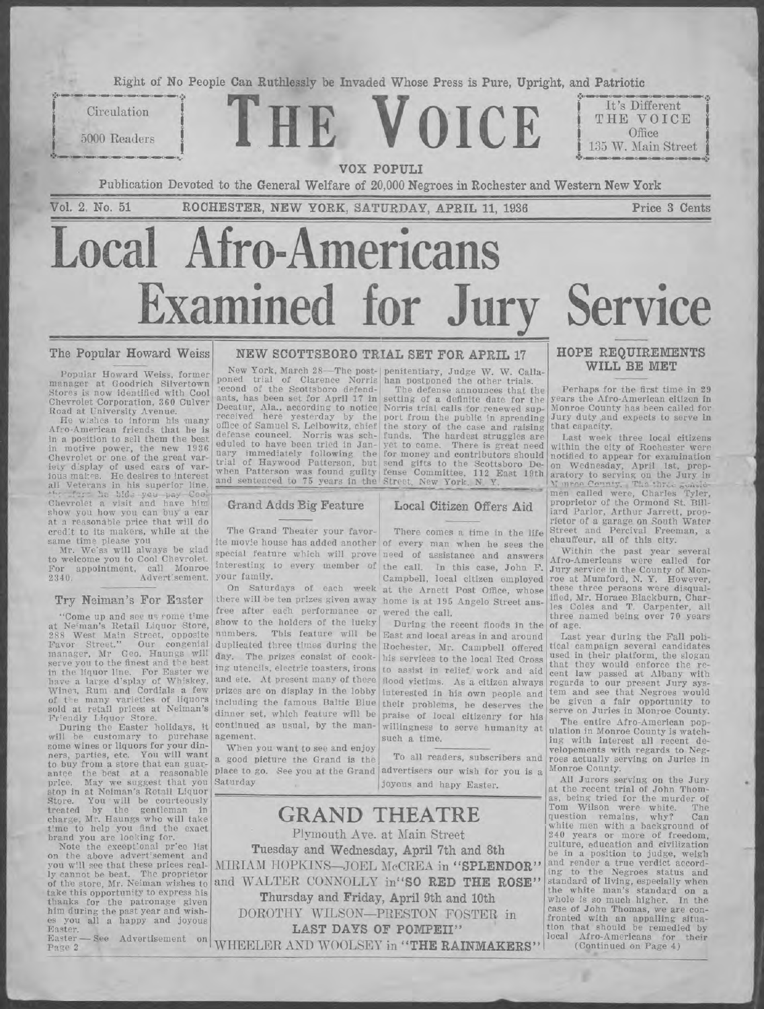

Circulation 5000 Readers E VOICE

It's Different THE VOICE Office 135 W. Main Street

Price 3 Cents

VOX POPULI

#### Publication Devoted to the General Welfare of 20,000 Negroes in Rochester and Western New York

Vol. 2, No. 51

ROCHESTER, NEW YORK, SATURDAY, APRIL 11, 1936

# **Local Afro-Americans Examined for Jury Service**

#### The Popular Howard Weiss

Popular Howard Weiss, former manager at Goodrich Silvertown<br>Stores is now identified with Cool<br>Chevrolet Corporation, 360 Culver Road at University Avenue.<br>He wishes to inform his many

Afro-American friends that he is in a position to sell them the best<br>in motive power, the new 1936<br>Chevrolet or one of the great variety d'splay of used cars of various males. He desires to interest all Veterans in his superior line an veterans in this superforme.<br>Chevrolet a visit and have him<br>show you how you can buy a car<br>at a reasonable price that will do cred't to its makers, while at the

same time please you<br>Mr. We'ss will always be glad<br>to welcome you to Cool Chevrolet. For appointment, call Monroe<br>2340. Advertisement.

#### Try Neiman's For Easter

"Come up and see us rome time Come up and see as some the<br>at Newman's Retail Liquor Store,<br>288 West Main Street, opposite<br>Favor Street." Our congenial<br>manager, Mr Geo. Haungs will<br>serve you to the finest and the best in the liquor line. For Easter we<br>have a large d'splay of Whiskey,<br>Wines, Rum and Cordials a few of the many varieties of liquors<br>sold at retail prices at Neiman's<br>Friendly Liquor Store.

During the Easter holidays, it<br>will be customary to purchase some wines or liquors for your dinners, parties, etc. You will want to buy from a store that can guarantee the best at a reasonable place to go. See you at the Grand advertisers our wish for you is a price. May we suggest that you Saturday dividend and advertisers our wish for you is a store in at Neiman's Retail Liquor stop in at Neiman's Retail Liquor<br>Store. You will be courteously<br>treated by the gentleman in<br>charge, Mr. Haungs who will take<br>time to help you find the exact<br>brand you are looking for.<br>Note the exceptional price list<br>on th

thanks for the patronage given<br>him during the past year and wishes you all a happy and joyous Easter. Easter See Advertisement on Page 2

## NEW SCOTTSBORO TRIAL SET FOR APRIL 17

second of the Scottsboro defend-

#### Grand Adds Big Feature

The Grand Theater your favoryour family.

there will be ten prizes given away home is at 195 Angelo Street ansfree after each performance or show to the holders of the lucky numbers. duplicated three times during the Rochester, Mr. Campbell offered day. The prizes consist of cook- his services to the local Red Cross ing utencils, electric toasters, irons to assist in relief work and aid and etc. At present many of these flood victims. As a citizen always prizes are on display in the lobby interested in his own people and including the famous Baltic Blue their problems, he deserves the dinner set, which feature will be praise of local citizenry for his continued as usual, by the management.

When you want to see and enjoy a good picture the Grand is the

New York, March 28-The post- penitentiary, Judge W. W. Calla-<br>poned trial of Clarence Norris han postponed the other trials.

The defense announces that the second of the Scottsboro defend-<br>
ants, has been set for April 17 in setting of a definite date for the<br>
Decatur, Ala., according to notice Norris trial calls for renewed sup-<br>
received here yesterday by the port from the the story of the case and raising<br>funds. The hardest struggles are<br>yet to come. There is great need defense councel. Norris was sch-<br>[1mds.] The hardest struggles are<br>eduled to have been tried in Jan-<br>lyet to come. There is great need<br>uary immediately following the for money and contributors should<br>trial of Haywood Patte

#### Local Citizen Offers Aid

There comes a time in the life ite movie house has added another of every man when he sees the special feature which will prove need of assistance and answers interesting to every member of the call. In this case, John F. Campbell, local citizen employed On Saturdays of each week at the Arnett Post Office, whose wered the call.

During the recent floods in the This feature will be East and local areas in and around willingness to serve humanity at such a time.

To all readers, subscribers and

# HOPE REQUIREMENTS

#### WILL BE MET

Perhaps for the first time in 29 years the Afro-American citizen in<br>Monroe County has been called for Jury duty and expects to serve in that capacity.

Last week three local citizens within the city of Rochester were notified to appear for examination<br>on Wednesday, April 1st, prep-<br>aratory to serving on the Jury in Mros Connt men called were, Charles Tyler, iard Parlor, Arthur Jarrett, proprietor of a garage on South Water Street and Percival Freeman, a chauffeur, all of this city.

Within the past year several<br>Afro-Americans were called for<br>Jury service in the County of Mon-<br>roe at Mumford, N. Y. However,<br>these three persons were disqual-<br>ified My prese Blackburn Char ified, Mr. Horace Blackburn, Charles Coles and T. Carpenter, all three named being over 70 years of age.

Last year during the Fall political campaign several candidates used in their platform, the slogan that they would enforce the re-<br>cent law passed at Albany with<br>regards to our present Jury system and see that Negroes would<br>be given a fair opportunity to<br>serve on Juries in Monroe County.

The entire Afro-American pop-<br>
The entire Afro-American pop-<br>
ulation in Monree County is watch-<br>
ing with interest all recent de-<br>
velopements with regards to Neg-<br>
roes actually serving on Juries in<br>
Monree County servin Monroe County.

All Jurors serving on the Jury all Jurors serving on the Jury<br>at the recent trial of John Thom-<br>as, being tried for the murder of<br>Tom Wilson were white. The<br>question remains, why? Can<br>white men with a background of<br>240 years or more of freedom,<br>culture, be in a position to judge, weigh and render a true verdict accord-<br>ing to the Negroes status and ing to the Negroes status and<br>standard of living, especially when<br>the white man's standard on a<br>whole is so much higher. In the<br>case of John Thomas, we are con-<br>fronted with an appalling situa-<br>tion that should be remedied

**GRAND THEATRE** Plymouth Ave. at Main Street Tuesday and Wednesday, April 7th and 8th MIRIAM HOPKINS-JOEL McCREA in "SPLENDOR" Iy cannot be beat. The proprietor of the store, Mr. Neiman wishes to and WALTER CONNOLLY in"SO RED THE ROSE" take this opportunity to express his Thursday and Friday, April 9th and 10th DOROTHY WILSON-PRESTON FOSTER in LAST DAYS OF POMPEII" WHEELER AND WOOLSEY in "THE RAINMAKERS"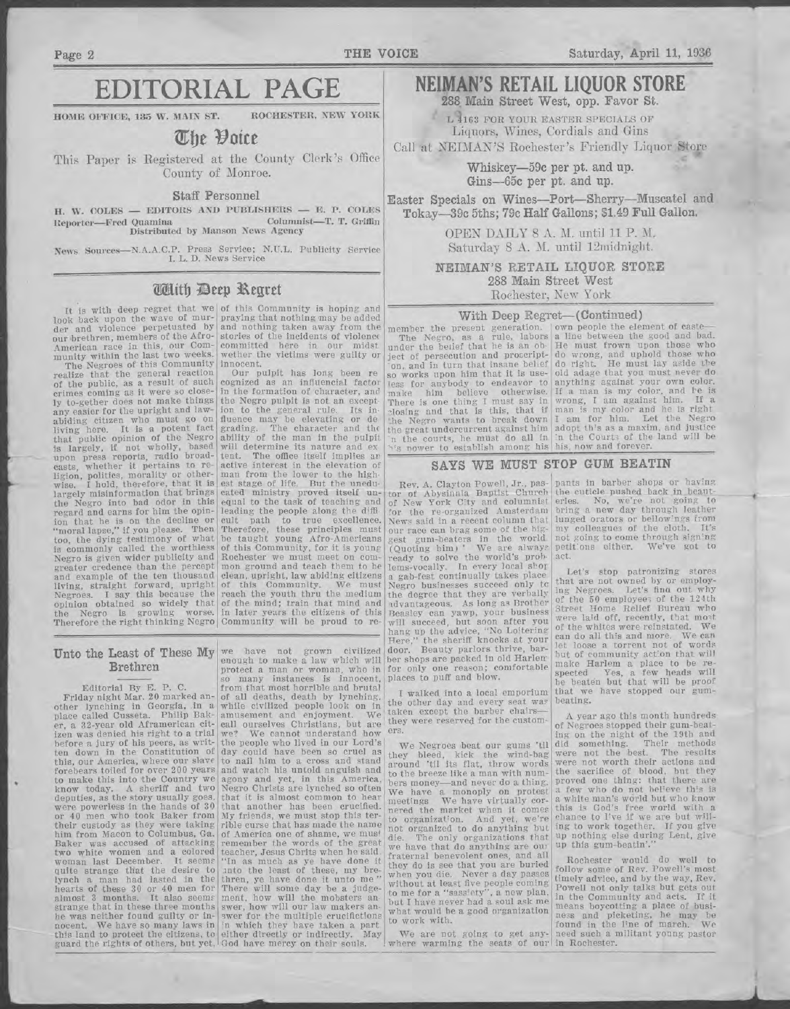Page 2

# Page 2<br>EDITORIAL PAGE EDITORIAL PAGE

HOME OFFICE, 135 W. MAIN ST. ROCHESTER, NEW YORK

### The Voice

This Paper is Registered at the County Clerk's Office County of Monroe.

#### Staff Personnel

H. W. COLES — EDITORS AND PUBLISHERS — E. P. COLES Reporter—Fred Quamina Columnist—T. T. Griffin Distributed by Manson News Agency Page 2<br>
FDITORIAL PAGE<br>
HOME OFFICE, 135 W. MAIN ST. ROCHESTER, NEW YORK<br>
This Paper is Registered at the County Clerk's Office<br>
County of Monroe.<br>
M. W. COLES — EDITORS AND PUBLISHERS — E. P. COLES<br>
Reporter—Fred Quamina<br>

News Sources—N.A.A.C.P. Press Service; N.U.L. Publicity Service I. L. D. News Service

#### GHith Deep Rearet

It is with deep regret that we look back upon the wave of murder and violence perpetuated by our brethren, members of the Afro-American race in this, our Community within the last two weeks.

The Negroes of this Community realize that the general reaction of the public, as a result of such erimes coming as it were so closely to-gether does not make things any easier for the upright and lawabiding citizen who must go on living here. It is a potent fact that public opinion of the Negro is largely, if not wholly, based upon press reports, radio broadeasts, whether it pertains to religion, politics, morality or other-wise. I hold, therefore, that it is largely misinformation that brings the Negro into bad odor in this regard and earns for him the opinion that he is on the decline or ''moral lapse,' if you please. Then too, the dying testimony of what is commonly called the worthless Negro is given wider publicity and ereater credence than the percept and example of the ten thousand living, straight forward, upright Negroes. I say this because the opinion obtained so widely that the Negro is growing worse. Therefore the right thinking Negro 

of this Community is hoping and praying that nothing may be added and nothing taken away from the stories of the incidents of violence committed here in our midst wether the victims were guilty or innocent.

Our pulpit has long been re cognized as an influencial factor in the formation of character, and the Negro pulpit is not an exception to the general rule. Its in-<br>fluence may be elevating or de grading. The character and the ability of the man in the pulpit will determine its nature and ex tent. The office itself implies an active interest in the elevation of man from the lower to the highest stage of life. But the unedueated ministry proved itself unequal to the task of teaching and leading the people along the diffi. cult path to true excellence. Therefore, these principles must be taught young Afro-Americans of this Community, for it is young Rochester we must meet on common ground and teach them to be clean, upright, law abiding citizens clean, upright, law abiding citizens<br>of this Community. We must reach the youth thru the medium of the mind; train that mind and in later years the citizens of this Community will be proud to re-

# Brethren

Editorial By E. P. C.

Friday night Mar. 20 marked another lynching in Georgia, in a place called Cusseta. Philip Baker, a 32-year old Aframerican citizen was denied his right to a trial before a jury of his peers, as writ-ten down in the Constitution of this, our America, where our slave forebears toiled for over 200 years to make this into the Country we know today. A sheriff and two deputies, as the story usually goes, were powerless in the hands of 30<br>or 40 men who took Baker from their custody as they were taking him from Macon to Columbus, Ga. Baker was accused of attacking two white women and a colored woman last December. It seems quite strange that the desire to lynch a man had lasted in the hearts of these 30 or 40 men for almost <sup>3</sup> months. It also seems strange that in these three months he was neither found guilty or inne was nettner tound guilty or in-<br>nocent. We have so many laws in this land to protect the citizens, to either directly or indirectly. Maguard the rights of others, but yet, God have mercy on their souls.

Unto the Least of These My we have not grown civilized<br>Brethren Brethren and the south of the set of the set of the south of the south of the south of the south of the south of the south of the south of the south of the so enough to make a law which will protect <sup>a</sup> man or woman, who in so many instances is innocent, from that most horrible and brutal of all deaths, death by lynching, while civilized people look on in' amusement and enjoyment. We call ourselves Christians, but are we? We cannot understand how the people who lived in our Lord's day could have been so cruel as to nail him to a cross and stand and watch his untold anguish and agony and yet, in this America, Negro Christs are lynched so often that it is almost common to hear that another has been crucified. My friends, we must stop this terrible curse that has made the name of America one of shame, we must remember the words of the great teacher, Jesus Chrits when he said. "In as much as ye have done it unto the least of these, my bre-thren, ye have done it unto me" There will some day be a judgement, how will the mobsters answer, how will our law makers answer for the multiple crucifictions in which they have taken a part either directly or indirectly. May God have mercy on their souls.

# NEIMAN'S RETAIL LIQUOR STORE

288 Main Street West, opp. Favor St. L 4163 FOR YOUR EASTER SPECIALS OF

Liquors, Wines, Cordials and Gins

Call at NEIMAN'S Rochester's Friendly Liquor Store

Whiskey—59c per pt. and up. Gins—65c per pt. and up.

Easter Specials on Wines—Port—Sherry—Muscatel and Tokay—39c 5ths; 79c Half Gallons; \$1.49 Full Gallon. OICE<br>
NEIMAN'S RETAIL<br>
288 Main Street Wes<br>
L4163 FOR YOUR EAS<br>
Liquors, Wines, Con<br>
Call at NEIMAN'S Rochester<br>
Whiskey—59c pe<br>
Gins—65c per pt<br>
Tokay—39c 5ths; 79c Half Ga<br>
OPEN DAILY 8 A. I.<br>
Saturday 8 A. M. u<br>
NEIMAN'

OPEN DAILY <sup>8</sup> A. M. until <sup>11</sup> P. M. Saturday 8 A. M. until 12midnight.

NEIMAN'S RETAIL LIQUOR STORE 288 Main Street West

Rochester, New York

#### With Deep Regret—(Continued)

The Negro, as a rule, labors under the betief that he is an ob-ject of persecution and proscript- 'on, and in turn that insane belief so works upon him that it is useless for anybody to endeavor to<br>make him believe otherwise. There is one thing I must say in alosing and that is this, that if the Negro wants to break down the great undercurrent against him 'n the courts, he must do all in h the courts, he must do an in the coarts of the

member the present generation. | own people the element of castea line between the good and bad. He must frown upon those who do wrong, and uphold those who do right. He must lay aside the old adage that you must never do anything against your own color. If <sup>a</sup> man is my color, and Fe is wrong, <sup>I</sup> am against him. If a man is my color and he is right man is my color and he is right.<br>I am for him. Let the Negro adopt th's as a maxim, and justice 'n the Courts of the land will be

# SAYS WE MUST STOP GUM BEATIN

Rev. A. Clayton Powell, Jr., pas-tor of Abysinnia Baptist Church of New York City and columnist for the re-organized Amsterdam News said in a recent column that our race can brag some of the biggest gum-beaters in the world. (Quoting him)' We are always ready to solve the world's prob- lems-vocally. In every local shor gab-fest continually takes place Negro businesses succeed only tc the degree that they are verbally advantageous. As long as Brother Beasley can yawp, your business will sueceed, but soon after you hang up the advice, ''No Loitering Here," the sheriff knocks at your door. Beauty parlors thrive, barber shops are packed in old Harler for only one reason; comfortable places to puff and blow.

the other day and every seat was <sup>I</sup> walked into a local emporium taken except the barber chairs they were reserved for the customers.

We Negroes beat our gums 'til they bleed, kick the wind-bag around 'til its flat, throw words around 'tu its flat, throw words<br>to the breeze like a man with num-<br>bers money—and never do a thing bers money—and never do a thing. We have <sup>a</sup> monoply on protest meetings We have virtually cornered the market when it comes to organization. And yet, we're not organized to do anything but The only organizations that we have that do anything are ou! fraternal benevolent ones, and all they do is see that you are buried when you die. Never a day passes without at least five people coming to me for a "'sassiety'', a new plan, but <sup>I</sup> have never had a soul ask me what would be a good organization to work with. the degree that they are verbally in<br>dividuate out and a strocher of the degree that they are verbally of<br>deaster can yawp, your business 3t<br>will succeed, but soon after you will<br>here  $\gamma$  the sheric knocks at your busine

 We are not going to get anywhere warming the seats of our in Rochester.

pants in barber shops or having the cuticle pushed back in beauteries. No, we're not going to eries. No, we're not going to<br>bring a new day through leather lunged orators or bellowings from my colleagues of the cloth. It's not going to come through signing petitions either. We've got to act.

Let's stop patronizing stores hat are not owned by or employ-ing Negroes. Let's find out why of the 50 employees of the 124th Street Home Relief Bureau who were laid off, recently, that most of the whites were reinstated. We of the whites were reinstated. We<br>can do all this and more. We can let loose a torrent not of words but of community action that will make Harlem a place to be respected Yes, a few heads will be beaten but that will be proof that we have stopped our gumbeating.

A year ago this month hundreds of Negroes stopped their gum-beating on the night of the 19th and did something. Their methods were not the best. The results were not worth their actions and the sacrifice of blood, but they proved one thing: that there are a few who do not believe this is <sup>a</sup> white man's world but who know this is God's free world with chance to live if we are but willing to work together. If you give up nothing else during Lent, give up this gum-beatin'.'

Rochester would do well to follow some of Rev. Powell's most timely advice, and by the way, Rev. Powell not only talks but gets out in the Community and acts. If it means boycotting a place of business and picketing, he may be found in the line of march. Weneed such a militant young pastor<br>in Rochester.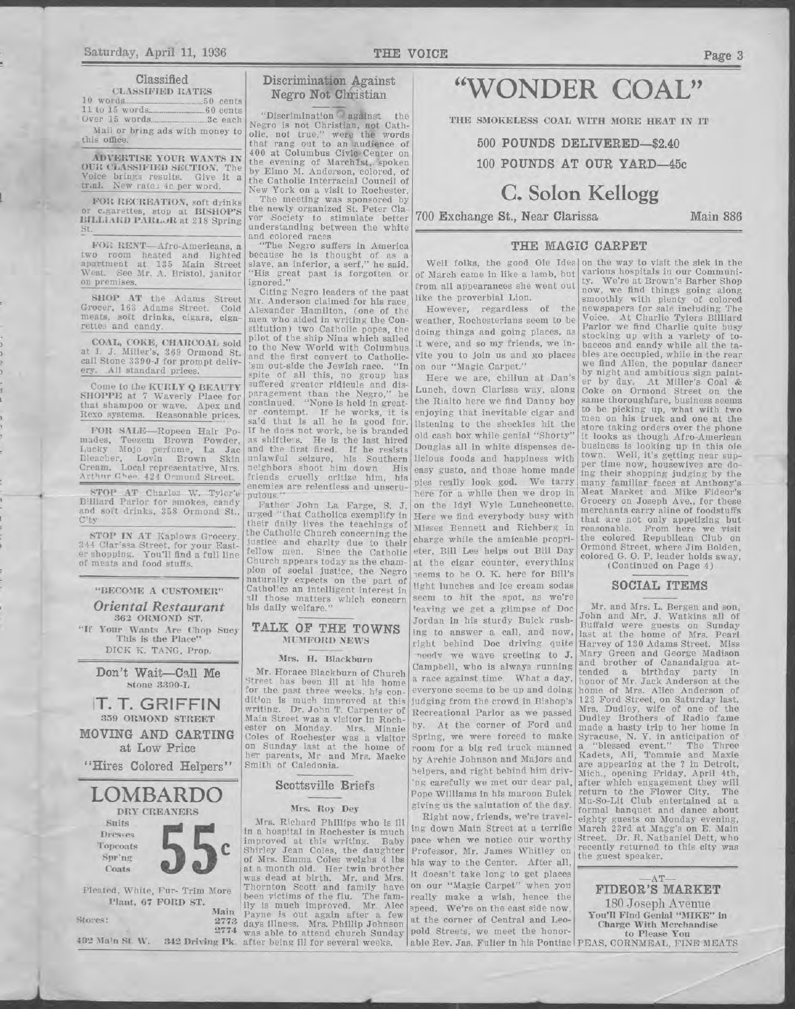#### Classified **CLASSIFIED RATES**

| 10 words 50 cents               |  |
|---------------------------------|--|
|                                 |  |
|                                 |  |
| Mail or bring ads with money to |  |
| this office.                    |  |

**ADVERTISE YOUR WANTS IN** OUR CLASSIFIED SECTION. The Voice brings results. Give it a<br>trial. New rate; 4c per word. trial.

FOR RECREATION, soft drinks or c.garettes, stop at BISHOP'S<br>BILLIARD PARLOR at 218 Spring

FOR RENT-Afro-Americans, a two room heated and lighted<br>apartment at 135 Main Street<br>West, See Mr. A. Bristol, janitor on premises.

SHOP AT the Adams Street<br>Grocer, 163 Adams Street. Cold<br>meats, soft drinks, cigars, cigarettes and candy.

COAL, COKE, CHARCOAL sold at I. J. Miller's, 369 Ormond St.<br>call Stone 3390-J for prompt deliv-All standard prices. ery.

Come to the KURLY Q BEAUTY<br>SHOPPE at 7 Waverly Place for<br>that shampoo or wave. Apex and Reasonable prices. Rexo systems.

FOR SALE-Ropeen Hair Pomades, Teezem Brown Powder,<br>Lucky Mojo perfume, La Jac<br>Bleacher, Lovin Brown Skin<br>Cream. Local representative, Mrs.<br>Arthur Ghes, 424 Ormond Street.

STOP AT Charles W. Tyler's<br>Billiard Parlor for smokes, candy and soft drinks, 358 Ormond St.,  $C'tv$ 

STOP IN AT Kaplows Grocery 344 Clar'ssa Street, for your East-<br>er shopping. You'll find a full line<br>of meats and food stuffs.

#### "BECOME A CUSTOMER" Oriental Restaurant

362 ORMOND ST. "If Your Wants Are Chop Suey

This is the Place" DICK K. TANG, Prop.

Don't Wait-Call Me **Stone 3390-L** 

T. T. GRIFFIN 359 ORMOND STREET MOVING AND CARTING at Low Price "Hires Colored Helpers"

LOMBARDO DRY CREANERS Suits Dresses Topcoats Spr'ng Coats Pleated, White, Fur- Trim More Plant, 67 FORD ST. Main  $\frac{2773}{2774}$ Stores:

#### Discrimination Against Negro Not Christian

"Discrimination against the Negro is not Christian, not Catholic, not true," were the words that rang out to an audience of 400 at Columbus Civic Center on the evening of March1st, spoken by Elmo M. Anderson, colored, of the Catholic Interracial Council of New York on a visit to Rochester.<br>The meeting was sponsored by

the newly organized St. Peter Claver Society to stimulate better<br>understanding between the white and colored races

"The Negro suffers in America because he is thought of as a<br>slave, an inferior, a serf," he said.<br>"His great past is forgotten or ignored.'

Citing Negro leaders of the past Mr. Anderson claimed for his race, Alexander Hamilton, (one of the<br>men who aided in writing the Constitution) two Catholic popes, the pilot of the ship Nina which sailed<br>to the New World with Columbus and the first convert to Catholic-'sm out-side the Jewish race. "In<br>spite of all this, no group has<br>suffered greater ridicule and disparagement than the Negro," he<br>continued. "None is held in greater contempt. If he works, it is<br>said that is all he is good for. If he does not work, he is branded as shiftle's. He is the last hired<br>and the first fired. If he resists and the first fires, his Southern<br>neighbors shoot him down His<br>friends cruelly critize him, his<br>enemies are relentless and unscruoutous.

Father John La Farge, S. urged "that Catholics exemplify in<br>their daily lives the teachings of the Catholic Church concerning the justice and charity due to their Since the Catholic fellow men. Church appears today as the champion of social justice, the Negro<br>naturally expects on the part of Catholics an intelligent interest in all those matters which concern<br>his daily welfare."

#### TALK OF THE TOWNS **MUMFORD NEWS**

#### Mrs. H. Blackburn

Mr. Horace Blackburn of Church Street has been ill at his home<br>for the past three weeks, his condition is much improved at this writing. Dr. John T. Carpenter of Main Street was a visitor in Rochester on Monday. Mrs. Minnie<br>Coles of Rochester was a visitor on Sunday last at the home her parents, Mr and Mrs. Macke<br>Smith of Caledonia.

#### Scottsville Briefs

#### Mrs. Roy Dey

Mrs. Richard Phillips who is ill in a hospital in Rochester is much improved at this writing. Baby improved at this writing. Baby<br>Shirley Jean Coles, the daughter<br>of Mrs. Emma Coles weighs 4 lbs<br>at a month old. Her twin brother<br>was dead at birth. Mr. and Mrs.<br>Thornton Scott and family have<br>been victims of the flu. The f Payne is out again after a few<br>days illness. Mrs. Phillip Johnson<br>was able to attend church Sunday 492 Main St. W. 342 Driving Pk. after being ill for several weeks.

# "WONDER COAL"

THE SMOKELESS COAL WITH MORE HEAT IN IT

500 POUNDS DELIVERED-\$2.40

100 POUNDS AT OUR YARD-45c

## C. Solon Kellogg

700 Exchange St., Near Clarissa

Main 886

#### THE MAGIC CARPET

Well folks, the good Ole Ides on the way to visit the sick in the of March came in like a lamb, but various hospitals in our Communifrom all appearances she went out  $\begin{bmatrix} v_y \\ v_z \end{bmatrix}$ like the proverbial Lion.

However, regardless of the weather, Rochesterians seem to be doing things and going places, as it were, and so my friends, we invite you to join us and go places on our "Magic Carpet."

Here we are, chillun at Dan's Lunch, down Clarissa way, along the Rialto here we find Danny boy enjoying that inevitable cigar and listening to the sheckles hit the old cash box while genial "Shorty" Douglas all in white dispenses delicious foods and happiness with easy gusto, and those home made pies really look god. We tarry here for a while then we drop in on the Idyl Wyle Luncheonette, Here we find everybody busy with Misses Bennett and Richberg in charge while the amicable proprieter, Bill Lee helps out Bill Day at the cigar counter, everything peems to be O. K. here for Bill's light lunches and ice cream sodas seem to hit the spot, as we're leaving we get a glimpse of Doc Jordan in his sturdy Buick rushing to answer a call, and now, right behind Doc driving quite needy we wave greeting to J. Campbell, who is always running a race against time. What a day, everyone seems to be up and doing judging from the crowd in Bishop's Recreational Parlor as we passed by. At the corner of Ford and Spring, we were forced to make room for a big red truck manned by Archie Johnson and Majors and helpers, and right behind him driv-'ng carefully we met our dear pal. Pope Williams in his maroon Buick giving us the salutation of the day.

Right now, friends, we're traveling down Main Street at a terrific pace when we notice our worthy Professor, Mr. James Whitley on his way to the Center. After all, it doesn't take long to get places on our "Magic Carpet" when you really make a wish, hence the speed. We're on the east side now, at the corner of Central and Leopold Streets, we meet the honorable Rev. Jas. Fuller in his Pontiac PEAS, CORNMEAL, FINE MEATS

we find things going along smoothly with plenty of colored newspapers for sale including The<br>Voice. At Charlie Tylers Billiard<br>Parlor we find Charlie quite busy stocking up with a variety of tobaccos and candy while all the ta-<br>bles are occupied, while in the rear we find Allen, the popular dancer by night and ambitious sign painter by day. At Miller's Coal &<br>Coke on Ormond Street on the same thoroughfare, business seems to be picking up, what with two<br>men on his truck and one at the store taking orders over the phone it looks as though Afro-American business is looking up in this ole<br>town. Well, it's getting near supper time now, housewives are doing their shopping judging by the many familiar faces at Anthony's<br>Meat Market and Mike Fideor's Grocery on Joseph Ave., for these merchants carry aline of foodstuffs that are not only appetizing but<br>reasonable. From here we visit reasonable. From here we v<br>the colored Republican Club on Ormond Street, where Jim Bolden,<br>colored G. O. P. leader holds sway,

(Continued on Page 4)

#### **SOCIAL ITEMS**

Mr. and Mrs. L. Bergen and son, John and Mr. J. Watkins all of Buffald were guests on Sunday last at the home of Mrs. Pearl<br>Harvey of 130 Adams Street. Miss Mary Green and George Madison<br>and brother of Canandaigua attended a birthday party in<br>honor of Mr. Jack Anderson at the<br>home of Mrs. Alice Anderson of 23 Ford Street, on Saturday last. Mrs. Dudley, wife of one of the Dudley Brothers of Radio fame buttey brothers of madu and the Syracuse, N. Y. in anticipation of<br>a "blessed event." The Three<br>Kadets, Ali, Tommie and Maxie are appearing at the ? in Detroit, Mich., opening Friday, April 4th after which engagement they will<br>return to the Flower City. The Mu-So-Lit Club entertained at formal banquet and dance about eighty guests on Monday evening. March 23rd at Magg's on E. Main Street. Dr. R. Nathaniel Dett, who recently returned to this city was<br>the guest speaker.

 $AT-$ **FIDEOR'S MARKET** 180 Joseph Avenue You'll Find Genial "MIKE" in Charge With Merchandise to Please You